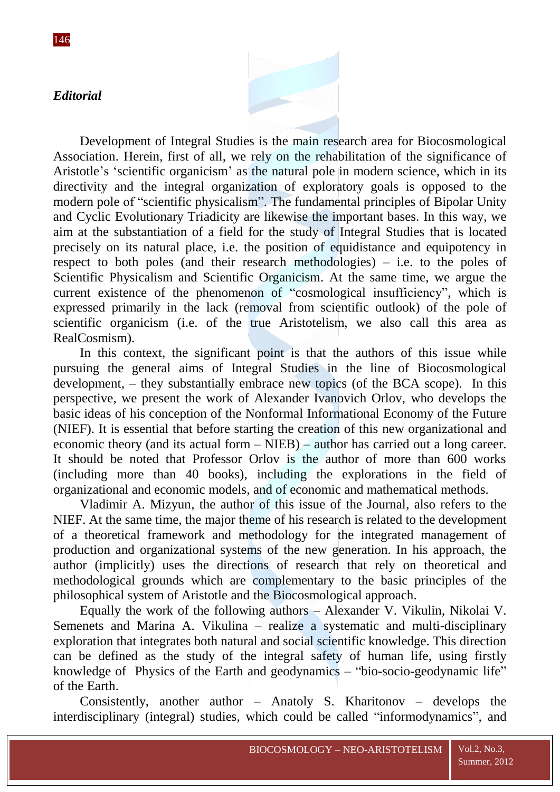## *Editorial*

Development of Integral Studies is the main research area for Biocosmological Association. Herein, first of all, we rely on the rehabilitation of the significance of Aristotle's 'scientific organicism' as the natural pole in modern science, which in its directivity and the integral organization of exploratory goals is opposed to the modern pole of "scientific physicalism". The fundamental principles of Bipolar Unity and Cyclic Evolutionary Triadicity are likewise the important bases. In this way, we aim at the substantiation of a field for the study of Integral Studies that is located precisely on its natural place, i.e. the position of equidistance and equipotency in respect to both poles (and their research methodologies) – i.e. to the poles of Scientific Physicalism and Scientific Organicism. At the same time, we argue the current existence of the phenomenon of "cosmological insufficiency", which is expressed primarily in the lack (removal from scientific outlook) of the pole of scientific organicism (i.e. of the true Aristotelism, we also call this area as RealCosmism).

In this context, the significant point is that the authors of this issue while pursuing the general aims of Integral Studies in the line of Biocosmological development, – they substantially embrace new topics (of the BCA scope). In this perspective, we present the work of Alexander Ivanovich Orlov, who develops the basic ideas of his conception of the Nonformal Informational Economy of the Future (NIEF). It is essential that before starting the creation of this new organizational and economic theory (and its actual form – NIEB) – author has carried out a long career. It should be noted that Professor Orlov is the author of more than 600 works (including more than 40 books), including the explorations in the field of organizational and economic models, and of economic and mathematical methods.

Vladimir A. Mizyun, the author of this issue of the Journal, also refers to the NIEF. At the same time, the major theme of his research is related to the development of a theoretical framework and methodology for the integrated management of production and organizational systems of the new generation. In his approach, the author (implicitly) uses the directions of research that rely on theoretical and methodological grounds which are complementary to the basic principles of the philosophical system of Aristotle and the Biocosmological approach.

Equally the work of the following authors – Alexander V. Vikulin, Nikolai V. Semenets and Marina A. Vikulina – realize a systematic and multi-disciplinary exploration that integrates both natural and social scientific knowledge. This direction can be defined as the study of the integral safety of human life, using firstly knowledge of Physics of the Earth and geodynamics  $-$  "bio-socio-geodynamic life" of the Earth.

Consistently, another author – Anatoly S. Kharitonov – develops the interdisciplinary (integral) studies, which could be called "informodynamics", and